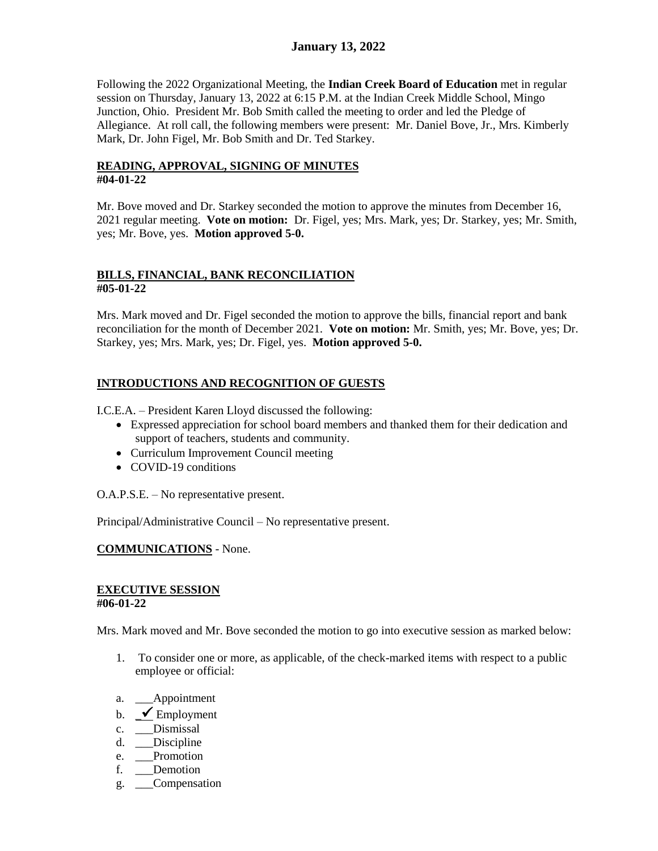Following the 2022 Organizational Meeting, the **Indian Creek Board of Education** met in regular session on Thursday, January 13, 2022 at 6:15 P.M. at the Indian Creek Middle School, Mingo Junction, Ohio. President Mr. Bob Smith called the meeting to order and led the Pledge of Allegiance. At roll call, the following members were present: Mr. Daniel Bove, Jr., Mrs. Kimberly Mark, Dr. John Figel, Mr. Bob Smith and Dr. Ted Starkey.

### **READING, APPROVAL, SIGNING OF MINUTES #04-01-22**

Mr. Bove moved and Dr. Starkey seconded the motion to approve the minutes from December 16, 2021 regular meeting. **Vote on motion:** Dr. Figel, yes; Mrs. Mark, yes; Dr. Starkey, yes; Mr. Smith, yes; Mr. Bove, yes. **Motion approved 5-0.**

#### **BILLS, FINANCIAL, BANK RECONCILIATION #05-01-22**

Mrs. Mark moved and Dr. Figel seconded the motion to approve the bills, financial report and bank reconciliation for the month of December 2021. **Vote on motion:** Mr. Smith, yes; Mr. Bove, yes; Dr. Starkey, yes; Mrs. Mark, yes; Dr. Figel, yes. **Motion approved 5-0.**

# **INTRODUCTIONS AND RECOGNITION OF GUESTS**

I.C.E.A. – President Karen Lloyd discussed the following:

- Expressed appreciation for school board members and thanked them for their dedication and support of teachers, students and community.
- Curriculum Improvement Council meeting
- COVID-19 conditions

O.A.P.S.E. – No representative present.

Principal/Administrative Council – No representative present.

#### **COMMUNICATIONS** - None.

#### **EXECUTIVE SESSION #06-01-22**

Mrs. Mark moved and Mr. Bove seconded the motion to go into executive session as marked below:

- 1. To consider one or more, as applicable, of the check-marked items with respect to a public employee or official:
- a. Appointment
- b.  $\blacktriangleright$  Employment
- c. \_\_\_Dismissal
- d. Discipline
- e. Promotion
- f. \_\_\_Demotion
- g. \_\_\_Compensation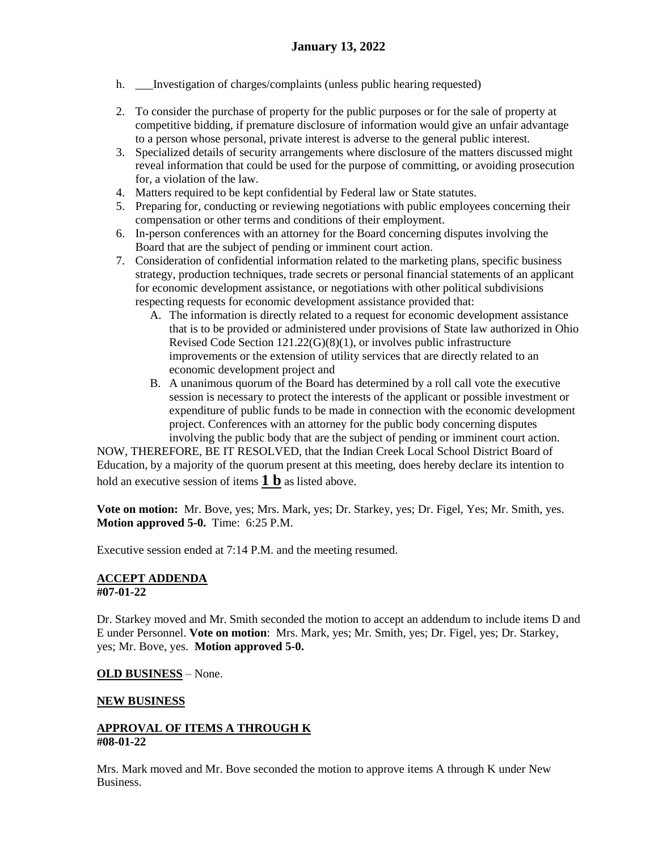- h. Investigation of charges/complaints (unless public hearing requested)
- 2. To consider the purchase of property for the public purposes or for the sale of property at competitive bidding, if premature disclosure of information would give an unfair advantage to a person whose personal, private interest is adverse to the general public interest.
- 3. Specialized details of security arrangements where disclosure of the matters discussed might reveal information that could be used for the purpose of committing, or avoiding prosecution for, a violation of the law.
- 4. Matters required to be kept confidential by Federal law or State statutes.
- 5. Preparing for, conducting or reviewing negotiations with public employees concerning their compensation or other terms and conditions of their employment.
- 6. In-person conferences with an attorney for the Board concerning disputes involving the Board that are the subject of pending or imminent court action.
- 7. Consideration of confidential information related to the marketing plans, specific business strategy, production techniques, trade secrets or personal financial statements of an applicant for economic development assistance, or negotiations with other political subdivisions respecting requests for economic development assistance provided that:
	- A. The information is directly related to a request for economic development assistance that is to be provided or administered under provisions of State law authorized in Ohio Revised Code Section 121.22(G)(8)(1), or involves public infrastructure improvements or the extension of utility services that are directly related to an economic development project and
	- B. A unanimous quorum of the Board has determined by a roll call vote the executive session is necessary to protect the interests of the applicant or possible investment or expenditure of public funds to be made in connection with the economic development project. Conferences with an attorney for the public body concerning disputes involving the public body that are the subject of pending or imminent court action.

NOW, THEREFORE, BE IT RESOLVED, that the Indian Creek Local School District Board of Education, by a majority of the quorum present at this meeting, does hereby declare its intention to hold an executive session of items **1 b** as listed above.

**Vote on motion:** Mr. Bove, yes; Mrs. Mark, yes; Dr. Starkey, yes; Dr. Figel, Yes; Mr. Smith, yes. **Motion approved 5-0.** Time: 6:25 P.M.

Executive session ended at 7:14 P.M. and the meeting resumed.

#### **ACCEPT ADDENDA #07-01-22**

Dr. Starkey moved and Mr. Smith seconded the motion to accept an addendum to include items D and E under Personnel. **Vote on motion**: Mrs. Mark, yes; Mr. Smith, yes; Dr. Figel, yes; Dr. Starkey, yes; Mr. Bove, yes. **Motion approved 5-0.** 

# **OLD BUSINESS** – None.

#### **NEW BUSINESS**

#### **APPROVAL OF ITEMS A THROUGH K #08-01-22**

Mrs. Mark moved and Mr. Bove seconded the motion to approve items A through K under New Business.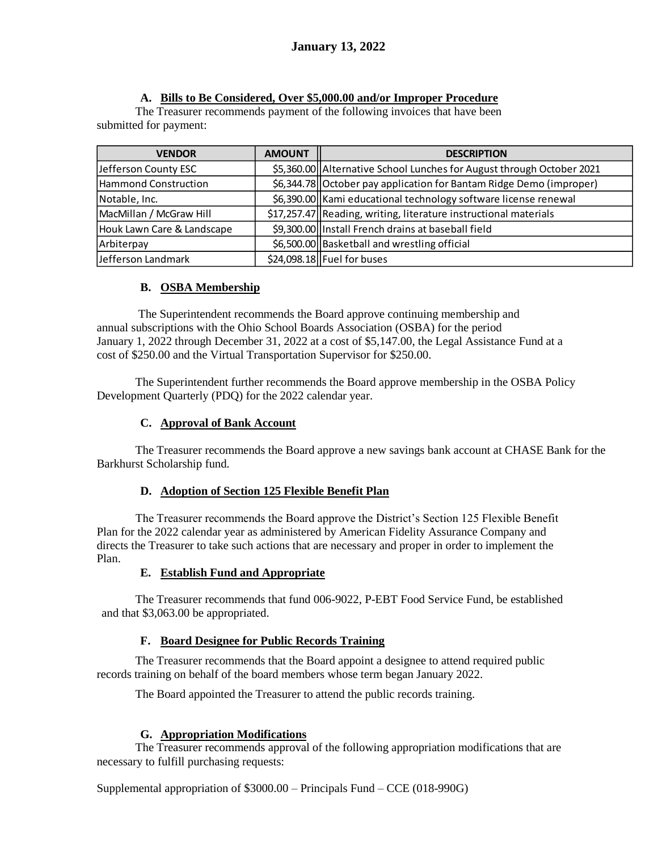# **A. Bills to Be Considered, Over \$5,000.00 and/or Improper Procedure**

The Treasurer recommends payment of the following invoices that have been submitted for payment:

| <b>VENDOR</b>              | <b>AMOUNT</b> | <b>DESCRIPTION</b>                                                    |
|----------------------------|---------------|-----------------------------------------------------------------------|
| Jefferson County ESC       |               | \$5,360.00 Alternative School Lunches for August through October 2021 |
| Hammond Construction       |               | \$6,344.78 October pay application for Bantam Ridge Demo (improper)   |
| Notable, Inc.              |               | \$6,390.00 Kami educational technology software license renewal       |
| MacMillan / McGraw Hill    |               | \$17,257.47 Reading, writing, literature instructional materials      |
| Houk Lawn Care & Landscape |               | \$9,300.00 Install French drains at baseball field                    |
| Arbiterpay                 |               | \$6,500.00 Basketball and wrestling official                          |
| Jefferson Landmark         |               | $$24,098.18$ Fuel for buses                                           |

# **B. OSBA Membership**

 The Superintendent recommends the Board approve continuing membership and annual subscriptions with the Ohio School Boards Association (OSBA) for the period January 1, 2022 through December 31, 2022 at a cost of \$5,147.00, the Legal Assistance Fund at a cost of \$250.00 and the Virtual Transportation Supervisor for \$250.00.

The Superintendent further recommends the Board approve membership in the OSBA Policy Development Quarterly (PDQ) for the 2022 calendar year.

# **C. Approval of Bank Account**

 The Treasurer recommends the Board approve a new savings bank account at CHASE Bank for the Barkhurst Scholarship fund.

# **D. Adoption of Section 125 Flexible Benefit Plan**

The Treasurer recommends the Board approve the District's Section 125 Flexible Benefit Plan for the 2022 calendar year as administered by American Fidelity Assurance Company and directs the Treasurer to take such actions that are necessary and proper in order to implement the Plan.

# **E. Establish Fund and Appropriate**

 The Treasurer recommends that fund 006-9022, P-EBT Food Service Fund, be established and that \$3,063.00 be appropriated.

# **F. Board Designee for Public Records Training**

The Treasurer recommends that the Board appoint a designee to attend required public records training on behalf of the board members whose term began January 2022.

The Board appointed the Treasurer to attend the public records training.

# **G. Appropriation Modifications**

The Treasurer recommends approval of the following appropriation modifications that are necessary to fulfill purchasing requests:

Supplemental appropriation of \$3000.00 – Principals Fund – CCE (018-990G)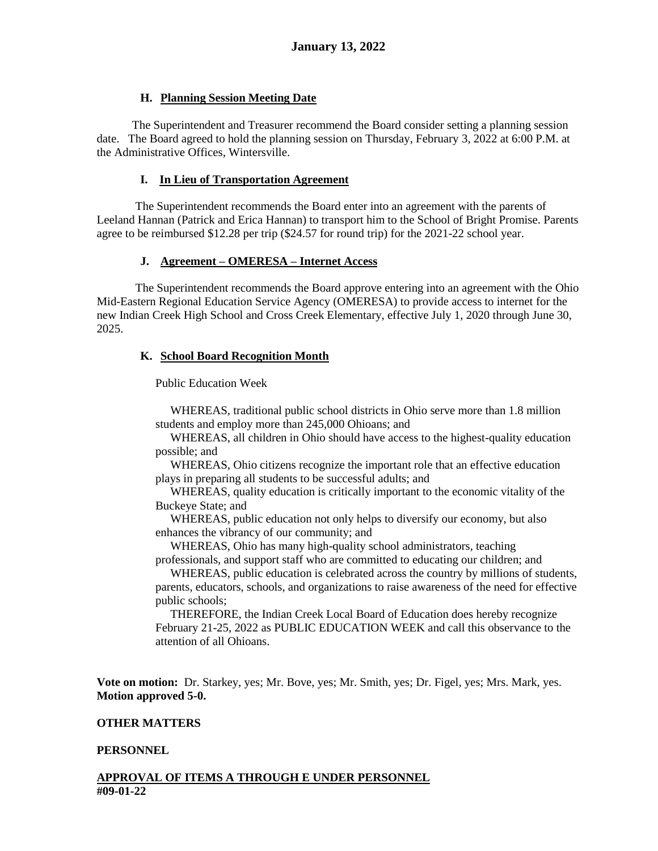#### **H. Planning Session Meeting Date**

 The Superintendent and Treasurer recommend the Board consider setting a planning session date. The Board agreed to hold the planning session on Thursday, February 3, 2022 at 6:00 P.M. at the Administrative Offices, Wintersville.

#### **I. In Lieu of Transportation Agreement**

The Superintendent recommends the Board enter into an agreement with the parents of Leeland Hannan (Patrick and Erica Hannan) to transport him to the School of Bright Promise. Parents agree to be reimbursed \$12.28 per trip (\$24.57 for round trip) for the 2021-22 school year.

#### **J. Agreement – OMERESA – Internet Access**

The Superintendent recommends the Board approve entering into an agreement with the Ohio Mid-Eastern Regional Education Service Agency (OMERESA) to provide access to internet for the new Indian Creek High School and Cross Creek Elementary, effective July 1, 2020 through June 30, 2025.

#### **K. School Board Recognition Month**

Public Education Week

WHEREAS, traditional public school districts in Ohio serve more than 1.8 million students and employ more than 245,000 Ohioans; and

 WHEREAS, all children in Ohio should have access to the highest-quality education possible; and

 WHEREAS, Ohio citizens recognize the important role that an effective education plays in preparing all students to be successful adults; and

 WHEREAS, quality education is critically important to the economic vitality of the Buckeye State; and

 WHEREAS, public education not only helps to diversify our economy, but also enhances the vibrancy of our community; and

 WHEREAS, Ohio has many high-quality school administrators, teaching professionals, and support staff who are committed to educating our children; and

 WHEREAS, public education is celebrated across the country by millions of students, parents, educators, schools, and organizations to raise awareness of the need for effective public schools;

 THEREFORE, the Indian Creek Local Board of Education does hereby recognize February 21-25, 2022 as PUBLIC EDUCATION WEEK and call this observance to the attention of all Ohioans.

**Vote on motion:** Dr. Starkey, yes; Mr. Bove, yes; Mr. Smith, yes; Dr. Figel, yes; Mrs. Mark, yes. **Motion approved 5-0.**

#### **OTHER MATTERS**

#### **PERSONNEL**

#### **APPROVAL OF ITEMS A THROUGH E UNDER PERSONNEL #09-01-22**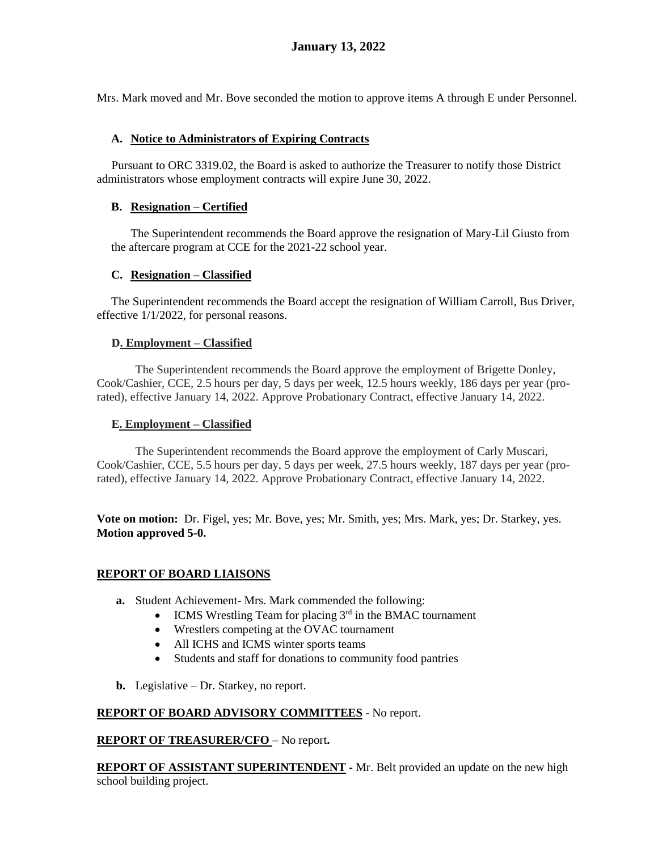Mrs. Mark moved and Mr. Bove seconded the motion to approve items A through E under Personnel.

### **A. Notice to Administrators of Expiring Contracts**

 Pursuant to ORC 3319.02, the Board is asked to authorize the Treasurer to notify those District administrators whose employment contracts will expire June 30, 2022.

#### **B. Resignation – Certified**

The Superintendent recommends the Board approve the resignation of Mary-Lil Giusto from the aftercare program at CCE for the 2021-22 school year.

#### **C. Resignation – Classified**

The Superintendent recommends the Board accept the resignation of William Carroll, Bus Driver, effective 1/1/2022, for personal reasons.

#### **D. Employment – Classified**

The Superintendent recommends the Board approve the employment of Brigette Donley, Cook/Cashier, CCE, 2.5 hours per day, 5 days per week, 12.5 hours weekly, 186 days per year (prorated), effective January 14, 2022. Approve Probationary Contract, effective January 14, 2022.

#### **E. Employment – Classified**

The Superintendent recommends the Board approve the employment of Carly Muscari, Cook/Cashier, CCE, 5.5 hours per day, 5 days per week, 27.5 hours weekly, 187 days per year (prorated), effective January 14, 2022. Approve Probationary Contract, effective January 14, 2022.

**Vote on motion:** Dr. Figel, yes; Mr. Bove, yes; Mr. Smith, yes; Mrs. Mark, yes; Dr. Starkey, yes. **Motion approved 5-0.**

#### **REPORT OF BOARD LIAISONS**

- **a.** Student Achievement- Mrs. Mark commended the following:
	- $\bullet$  ICMS Wrestling Team for placing  $3<sup>rd</sup>$  in the BMAC tournament
	- Wrestlers competing at the OVAC tournament
	- All ICHS and ICMS winter sports teams
	- Students and staff for donations to community food pantries
- **b.** Legislative Dr. Starkey, no report.

# **REPORT OF BOARD ADVISORY COMMITTEES** - No report.

#### **REPORT OF TREASURER/CFO** – No report**.**

**REPORT OF ASSISTANT SUPERINTENDENT -** Mr. Belt provided an update on the new high school building project.